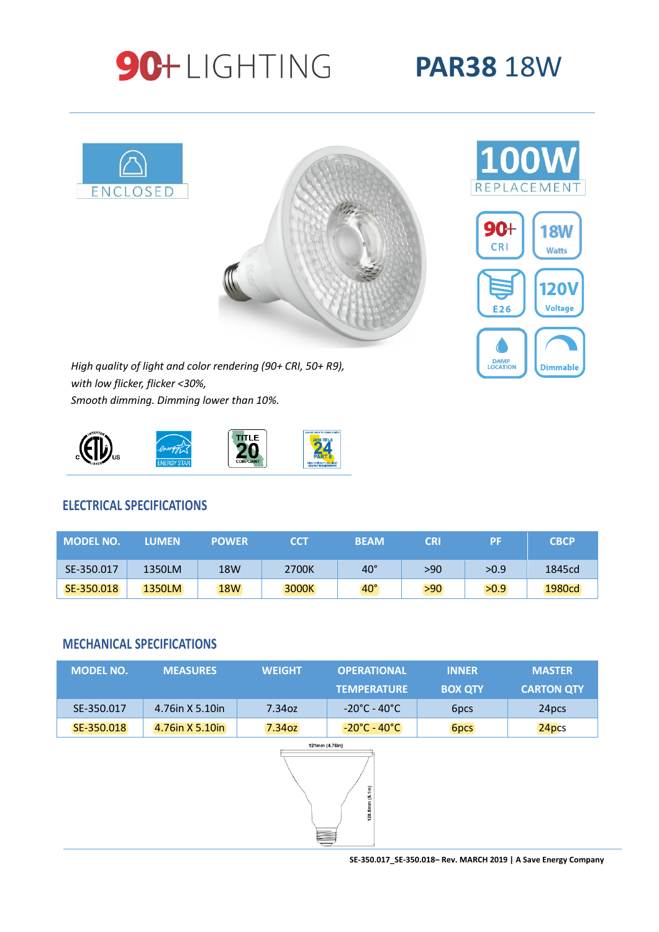# 90+LIGHTING

## **PAR38** 18W





*High quality of light and color rendering (90+ CRI, 50+ R9), with low flicker, flicker <30%, Smooth dimming. Dimming lower than 10%.*



#### **ELECTRICAL SPECIFICATIONS**

| <b>MODEL NO.</b> | <b>LUMEN</b> | <b>POWER</b> | <b>CCT</b> | <b>BEAM</b>  | <b>CRI</b> | РF   | <b>CBCP</b> |
|------------------|--------------|--------------|------------|--------------|------------|------|-------------|
| SE-350.017       | 1350LM       | 18W          | 2700K      | $40^{\circ}$ | >90        | >0.9 | 1845cd      |
| SE-350.018       | 1350LM       | <b>18W</b>   | 3000K      | $40^\circ$   | >90        | >0.9 | 1980cd      |

#### **MECHANICAL SPECIFICATIONS**

| <b>MODEL NO.</b>                       | <b>MEASURES</b> | <b>WEIGHT</b> | <b>OPERATIONAL</b><br><b>TEMPERATURE</b> | <b>INNER</b><br><b>BOX QTY</b> | <b>MASTER</b><br><b>CARTON QTY</b> |  |  |  |  |  |
|----------------------------------------|-----------------|---------------|------------------------------------------|--------------------------------|------------------------------------|--|--|--|--|--|
| SE-350.017                             | 4.76in X 5.10in | 7.34oz        | $-20^{\circ}$ C - 40 $^{\circ}$ C        | 6pcs                           | 24pcs                              |  |  |  |  |  |
| SE-350.018                             | 4.76in X 5.10in | 7.34oz        | $-20^{\circ}$ C - 40 $^{\circ}$ C        | <b>6pcs</b>                    | 24pcs                              |  |  |  |  |  |
| 121mm (4.76in)<br>128.5mm (5.1in)<br>E |                 |               |                                          |                                |                                    |  |  |  |  |  |



**SE-350.017\_SE-350.018– Rev. MARCH 2019 | A Save Energy Company**